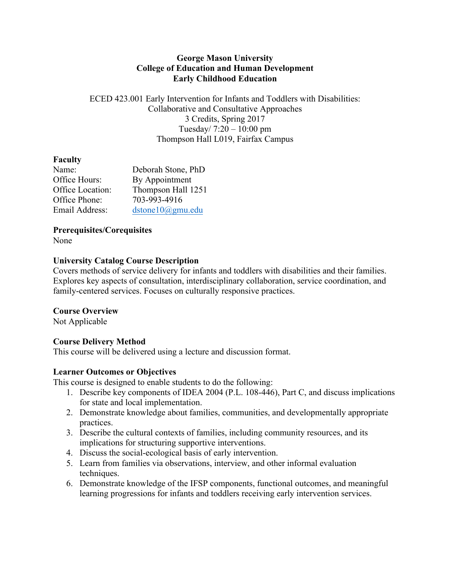#### **George Mason University College of Education and Human Development Early Childhood Education**

ECED 423.001 Early Intervention for Infants and Toddlers with Disabilities: Collaborative and Consultative Approaches 3 Credits, Spring 2017 Tuesday/ 7:20 – 10:00 pm Thompson Hall L019, Fairfax Campus

#### **Faculty**

| Name:            | Deborah Stone, PhD |
|------------------|--------------------|
| Office Hours:    | By Appointment     |
| Office Location: | Thompson Hall 1251 |
| Office Phone:    | 703-993-4916       |
| Email Address:   | dstone10@gmu.edu   |

**Prerequisites/Corequisites**

None

#### **University Catalog Course Description**

Covers methods of service delivery for infants and toddlers with disabilities and their families. Explores key aspects of consultation, interdisciplinary collaboration, service coordination, and family-centered services. Focuses on culturally responsive practices.

#### **Course Overview**

Not Applicable

# **Course Delivery Method**

This course will be delivered using a lecture and discussion format.

#### **Learner Outcomes or Objectives**

This course is designed to enable students to do the following:

- 1. Describe key components of IDEA 2004 (P.L. 108-446), Part C, and discuss implications for state and local implementation.
- 2. Demonstrate knowledge about families, communities, and developmentally appropriate practices.
- 3. Describe the cultural contexts of families, including community resources, and its implications for structuring supportive interventions.
- 4. Discuss the social-ecological basis of early intervention.
- 5. Learn from families via observations, interview, and other informal evaluation techniques.
- 6. Demonstrate knowledge of the IFSP components, functional outcomes, and meaningful learning progressions for infants and toddlers receiving early intervention services.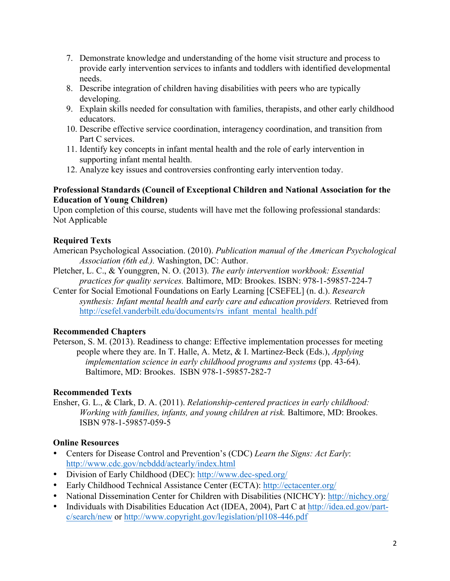- 7. Demonstrate knowledge and understanding of the home visit structure and process to provide early intervention services to infants and toddlers with identified developmental needs.
- 8. Describe integration of children having disabilities with peers who are typically developing.
- 9. Explain skills needed for consultation with families, therapists, and other early childhood educators.
- 10. Describe effective service coordination, interagency coordination, and transition from Part C services.
- 11. Identify key concepts in infant mental health and the role of early intervention in supporting infant mental health.
- 12. Analyze key issues and controversies confronting early intervention today.

### **Professional Standards (Council of Exceptional Children and National Association for the Education of Young Children)**

Upon completion of this course, students will have met the following professional standards: Not Applicable

# **Required Texts**

- American Psychological Association. (2010). *Publication manual of the American Psychological Association (6th ed.).* Washington, DC: Author.
- Pletcher, L. C., & Younggren, N. O. (2013). *The early intervention workbook: Essential practices for quality services.* Baltimore, MD: Brookes. ISBN: 978-1-59857-224-7
- Center for Social Emotional Foundations on Early Learning [CSEFEL] (n. d.). *Research synthesis: Infant mental health and early care and education providers.* Retrieved from http://csefel.vanderbilt.edu/documents/rs\_infant\_mental\_health.pdf

# **Recommended Chapters**

Peterson, S. M. (2013). Readiness to change: Effective implementation processes for meeting people where they are. In T. Halle, A. Metz, & I. Martinez-Beck (Eds.), *Applying implementation science in early childhood programs and systems (pp. 43-64).* Baltimore, MD: Brookes. ISBN 978-1-59857-282-7

# **Recommended Texts**

Ensher, G. L., & Clark, D. A. (2011). *Relationship-centered practices in early childhood: Working with families, infants, and young children at risk.* Baltimore, MD: Brookes. ISBN 978-1-59857-059-5

# **Online Resources**

- Centers for Disease Control and Prevention's (CDC) *Learn the Signs: Act Early*: http://www.cdc.gov/ncbddd/actearly/index.html
- Division of Early Childhood (DEC): http://www.dec-sped.org/
- Early Childhood Technical Assistance Center (ECTA): http://ectacenter.org/
- National Dissemination Center for Children with Disabilities (NICHCY): http://nichcy.org/
- Individuals with Disabilities Education Act (IDEA, 2004), Part C at http://idea.ed.gov/partc/search/new or http://www.copyright.gov/legislation/pl108-446.pdf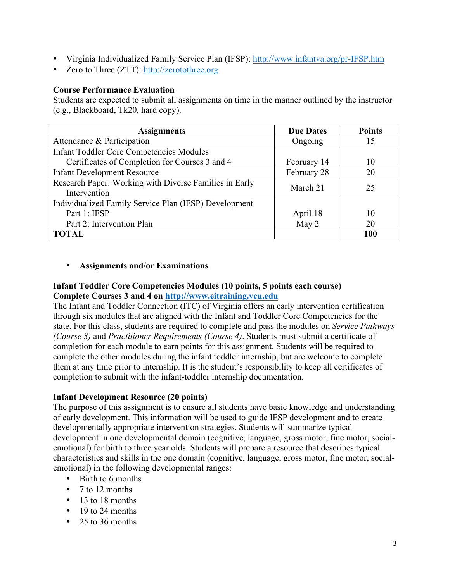- Virginia Individualized Family Service Plan (IFSP): http://www.infantva.org/pr-IFSP.htm
- Zero to Three (ZTT): http://zerotothree.org

#### **Course Performance Evaluation**

Students are expected to submit all assignments on time in the manner outlined by the instructor (e.g., Blackboard, Tk20, hard copy).

| <b>Assignments</b>                                     | <b>Due Dates</b> | <b>Points</b> |
|--------------------------------------------------------|------------------|---------------|
| Attendance & Participation                             | Ongoing          | 15            |
| <b>Infant Toddler Core Competencies Modules</b>        |                  |               |
| Certificates of Completion for Courses 3 and 4         | February 14      | 10            |
| <b>Infant Development Resource</b>                     | February 28      | 20            |
| Research Paper: Working with Diverse Families in Early | March 21         | 25            |
| Intervention                                           |                  |               |
| Individualized Family Service Plan (IFSP) Development  |                  |               |
| Part 1: IFSP                                           | April 18         | 10            |
| Part 2: Intervention Plan                              | May 2            | 20            |
| <b>TOTAL</b>                                           |                  | 100           |

### • **Assignments and/or Examinations**

# **Infant Toddler Core Competencies Modules (10 points, 5 points each course) Complete Courses 3 and 4 on http://www.eitraining.vcu.edu**

The Infant and Toddler Connection (ITC) of Virginia offers an early intervention certification through six modules that are aligned with the Infant and Toddler Core Competencies for the state. For this class, students are required to complete and pass the modules on *Service Pathways (Course 3)* and *Practitioner Requirements (Course 4)*. Students must submit a certificate of completion for each module to earn points for this assignment. Students will be required to complete the other modules during the infant toddler internship, but are welcome to complete them at any time prior to internship. It is the student's responsibility to keep all certificates of completion to submit with the infant-toddler internship documentation.

#### **Infant Development Resource (20 points)**

The purpose of this assignment is to ensure all students have basic knowledge and understanding of early development. This information will be used to guide IFSP development and to create developmentally appropriate intervention strategies. Students will summarize typical development in one developmental domain (cognitive, language, gross motor, fine motor, socialemotional) for birth to three year olds. Students will prepare a resource that describes typical characteristics and skills in the one domain (cognitive, language, gross motor, fine motor, socialemotional) in the following developmental ranges:

- Birth to 6 months
- 7 to 12 months
- 13 to 18 months
- 19 to 24 months
- 25 to 36 months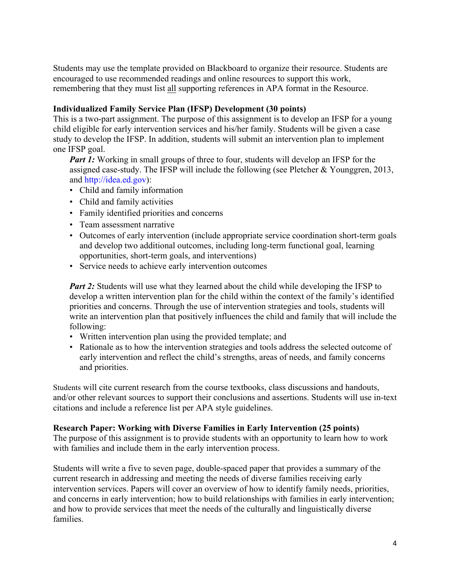Students may use the template provided on Blackboard to organize their resource. Students are encouraged to use recommended readings and online resources to support this work, remembering that they must list all supporting references in APA format in the Resource.

#### **Individualized Family Service Plan (IFSP) Development (30 points)**

This is a two-part assignment. The purpose of this assignment is to develop an IFSP for a young child eligible for early intervention services and his/her family. Students will be given a case study to develop the IFSP. In addition, students will submit an intervention plan to implement one IFSP goal.

*Part 1:* Working in small groups of three to four, students will develop an IFSP for the assigned case-study. The IFSP will include the following (see Pletcher & Younggren, 2013, and http://idea.ed.gov):

- Child and family information
- Child and family activities
- Family identified priorities and concerns
- Team assessment narrative
- Outcomes of early intervention (include appropriate service coordination short-term goals and develop two additional outcomes, including long-term functional goal, learning opportunities, short-term goals, and interventions)
- Service needs to achieve early intervention outcomes

*Part 2:* Students will use what they learned about the child while developing the IFSP to develop a written intervention plan for the child within the context of the family's identified priorities and concerns. Through the use of intervention strategies and tools, students will write an intervention plan that positively influences the child and family that will include the following:

- Written intervention plan using the provided template; and
- Rationale as to how the intervention strategies and tools address the selected outcome of early intervention and reflect the child's strengths, areas of needs, and family concerns and priorities.

Students will cite current research from the course textbooks, class discussions and handouts, and/or other relevant sources to support their conclusions and assertions. Students will use in-text citations and include a reference list per APA style guidelines.

#### **Research Paper: Working with Diverse Families in Early Intervention (25 points)**

The purpose of this assignment is to provide students with an opportunity to learn how to work with families and include them in the early intervention process.

Students will write a five to seven page, double-spaced paper that provides a summary of the current research in addressing and meeting the needs of diverse families receiving early intervention services. Papers will cover an overview of how to identify family needs, priorities, and concerns in early intervention; how to build relationships with families in early intervention; and how to provide services that meet the needs of the culturally and linguistically diverse families.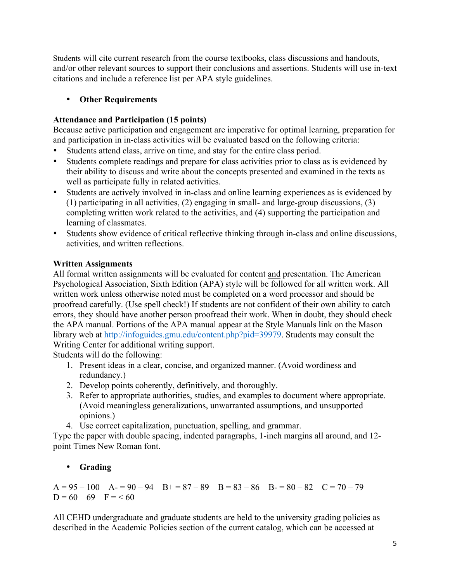Students will cite current research from the course textbooks, class discussions and handouts, and/or other relevant sources to support their conclusions and assertions. Students will use in-text citations and include a reference list per APA style guidelines.

# • **Other Requirements**

# **Attendance and Participation (15 points)**

Because active participation and engagement are imperative for optimal learning, preparation for and participation in in-class activities will be evaluated based on the following criteria:

- Students attend class, arrive on time, and stay for the entire class period.
- Students complete readings and prepare for class activities prior to class as is evidenced by their ability to discuss and write about the concepts presented and examined in the texts as well as participate fully in related activities.
- Students are actively involved in in-class and online learning experiences as is evidenced by (1) participating in all activities, (2) engaging in small- and large-group discussions, (3) completing written work related to the activities, and (4) supporting the participation and learning of classmates.
- Students show evidence of critical reflective thinking through in-class and online discussions, activities, and written reflections.

# **Written Assignments**

All formal written assignments will be evaluated for content and presentation. The American Psychological Association, Sixth Edition (APA) style will be followed for all written work. All written work unless otherwise noted must be completed on a word processor and should be proofread carefully. (Use spell check!) If students are not confident of their own ability to catch errors, they should have another person proofread their work. When in doubt, they should check the APA manual. Portions of the APA manual appear at the Style Manuals link on the Mason library web at http://infoguides.gmu.edu/content.php?pid=39979. Students may consult the Writing Center for additional writing support.

Students will do the following:

- 1. Present ideas in a clear, concise, and organized manner. (Avoid wordiness and redundancy.)
- 2. Develop points coherently, definitively, and thoroughly.
- 3. Refer to appropriate authorities, studies, and examples to document where appropriate. (Avoid meaningless generalizations, unwarranted assumptions, and unsupported opinions.)
- 4. Use correct capitalization, punctuation, spelling, and grammar.

Type the paper with double spacing, indented paragraphs, 1-inch margins all around, and 12 point Times New Roman font.

# • **Grading**

 $A = 95 - 100$   $A = 90 - 94$   $B = 87 - 89$   $B = 83 - 86$   $B = 80 - 82$   $C = 70 - 79$  $D = 60 - 69$  F = < 60

All CEHD undergraduate and graduate students are held to the university grading policies as described in the Academic Policies section of the current catalog, which can be accessed at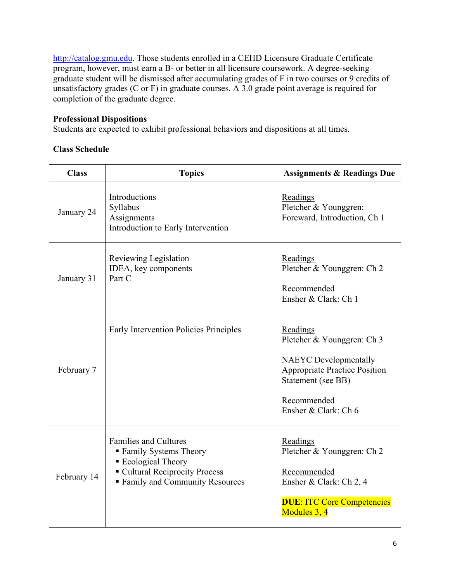http://catalog.gmu.edu. Those students enrolled in a CEHD Licensure Graduate Certificate program, however, must earn a B- or better in all licensure coursework. A degree-seeking graduate student will be dismissed after accumulating grades of F in two courses or 9 credits of unsatisfactory grades (C or F) in graduate courses. A 3.0 grade point average is required for completion of the graduate degree.

#### **Professional Dispositions**

Students are expected to exhibit professional behaviors and dispositions at all times.

### **Class Schedule**

| <b>Class</b> | <b>Topics</b>                                                                                                                                             | <b>Assignments &amp; Readings Due</b>                                                                                                                                       |
|--------------|-----------------------------------------------------------------------------------------------------------------------------------------------------------|-----------------------------------------------------------------------------------------------------------------------------------------------------------------------------|
| January 24   | Introductions<br>Syllabus<br>Assignments<br>Introduction to Early Intervention                                                                            | Readings<br>Pletcher & Younggren:<br>Foreward, Introduction, Ch 1                                                                                                           |
| January 31   | Reviewing Legislation<br>IDEA, key components<br>Part C                                                                                                   | Readings<br>Pletcher & Younggren: Ch 2<br>Recommended<br>Ensher & Clark: Ch 1                                                                                               |
| February 7   | Early Intervention Policies Principles                                                                                                                    | Readings<br>Pletcher & Younggren: Ch 3<br><b>NAEYC</b> Developmentally<br><b>Appropriate Practice Position</b><br>Statement (see BB)<br>Recommended<br>Ensher & Clark: Ch 6 |
| February 14  | <b>Families and Cultures</b><br>■ Family Systems Theory<br>■ Ecological Theory<br>• Cultural Reciprocity Process<br><b>Family and Community Resources</b> | Readings<br>Pletcher & Younggren: Ch 2<br>Recommended<br>Ensher & Clark: Ch 2, 4<br><b>DUE: ITC Core Competencies</b><br>Modules 3, 4                                       |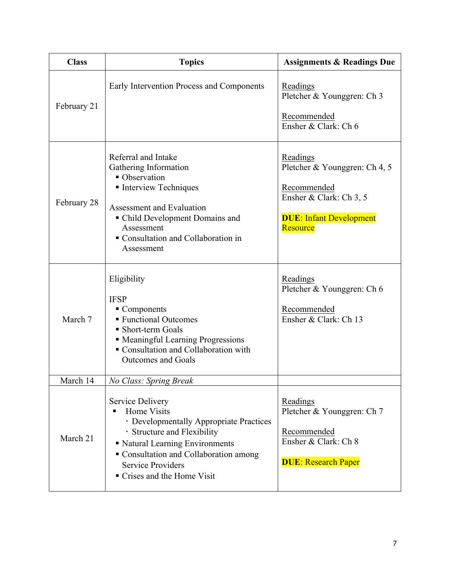| <b>Class</b> | <b>Topics</b>                                                                                                                                                                                                                                                                       | <b>Assignments &amp; Readings Due</b>                                                                                                                                                      |
|--------------|-------------------------------------------------------------------------------------------------------------------------------------------------------------------------------------------------------------------------------------------------------------------------------------|--------------------------------------------------------------------------------------------------------------------------------------------------------------------------------------------|
| February 21  | Early Intervention Process and Components                                                                                                                                                                                                                                           | Readings<br>Pletcher & Younggren: Ch 3<br>Recommended<br>Ensher & Clark: Ch 6                                                                                                              |
| February 28  | Referral and Intake<br>Gathering Information<br>• Observation<br>• Interview Techniques<br>Assessment and Evaluation<br>• Child Development Domains and<br>Assessment<br>Consultation and Collaboration in<br>Assessment<br>Eligibility<br><b>IFSP</b><br>$\blacksquare$ Components | Readings<br>Pletcher & Younggren: Ch 4, 5<br>Recommended<br>Ensher & Clark: Ch 3, 5<br><b>DUE: Infant Development</b><br>Resource<br>Readings<br>Pletcher & Younggren: Ch 6<br>Recommended |
| March 7      | ■ Functional Outcomes<br>• Short-term Goals<br>• Meaningful Learning Progressions<br>• Consultation and Collaboration with<br><b>Outcomes and Goals</b>                                                                                                                             | Ensher & Clark: Ch 13                                                                                                                                                                      |
| March 14     | No Class: Spring Break                                                                                                                                                                                                                                                              |                                                                                                                                                                                            |
| March 21     | Service Delivery<br>Home Visits<br>· Developmentally Appropriate Practices<br>· Structure and Flexibility<br>Katural Learning Environments<br>Consultation and Collaboration among<br><b>Service Providers</b><br>• Crises and the Home Visit                                       | Readings<br>Pletcher & Younggren: Ch 7<br>Recommended<br>Ensher & Clark: Ch 8<br><b>DUE: Research Paper</b>                                                                                |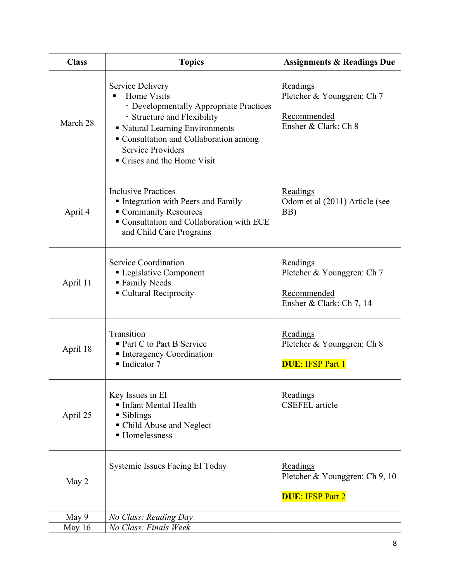| <b>Class</b> | <b>Topics</b>                                                                                                                                                                                                                                   | <b>Assignments &amp; Readings Due</b>                                             |
|--------------|-------------------------------------------------------------------------------------------------------------------------------------------------------------------------------------------------------------------------------------------------|-----------------------------------------------------------------------------------|
| March 28     | Service Delivery<br>Home Visits<br>• Developmentally Appropriate Practices<br>· Structure and Flexibility<br>• Natural Learning Environments<br>Consultation and Collaboration among<br><b>Service Providers</b><br>• Crises and the Home Visit | Readings<br>Pletcher & Younggren: Ch 7<br>Recommended<br>Ensher & Clark: Ch 8     |
| April 4      | <b>Inclusive Practices</b><br>Integration with Peers and Family<br>Community Resources<br>Consultation and Collaboration with ECE<br>and Child Care Programs                                                                                    | Readings<br>Odom et al (2011) Article (see<br>BB)                                 |
| April 11     | <b>Service Coordination</b><br>• Legislative Component<br><b>Family Needs</b><br>• Cultural Reciprocity                                                                                                                                         | Readings<br>Pletcher & Younggren: Ch 7<br>Recommended<br>Ensher & Clark: Ch 7, 14 |
| April 18     | Transition<br>■ Part C to Part B Service<br>• Interagency Coordination<br>$\blacksquare$ Indicator 7                                                                                                                                            | Readings<br>Pletcher & Younggren: Ch 8<br><b>DUE: IFSP Part 1</b>                 |
| April 25     | Key Issues in EI<br>Infant Mental Health<br>• Siblings<br>• Child Abuse and Neglect<br>■ Homelessness                                                                                                                                           | Readings<br><b>CSEFEL</b> article                                                 |
| May 2        | Systemic Issues Facing EI Today                                                                                                                                                                                                                 | Readings<br>Pletcher & Younggren: Ch 9, 10<br><b>DUE: IFSP Part 2</b>             |
| May 9        | No Class: Reading Day                                                                                                                                                                                                                           |                                                                                   |
| May 16       | No Class: Finals Week                                                                                                                                                                                                                           |                                                                                   |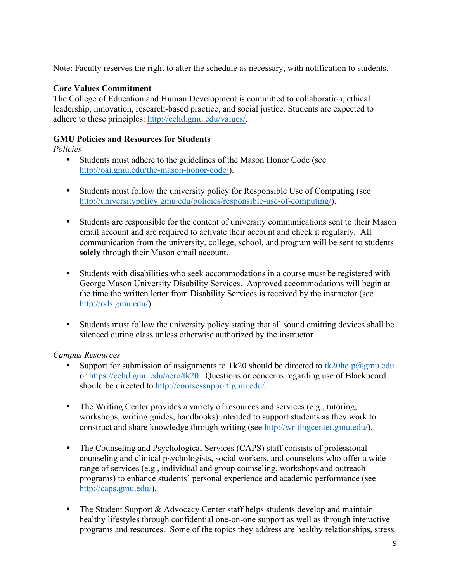Note: Faculty reserves the right to alter the schedule as necessary, with notification to students.

### **Core Values Commitment**

The College of Education and Human Development is committed to collaboration, ethical leadership, innovation, research-based practice, and social justice. Students are expected to adhere to these principles: http://cehd.gmu.edu/values/.

### **GMU Policies and Resources for Students**

*Policies*

- Students must adhere to the guidelines of the Mason Honor Code (see http://oai.gmu.edu/the-mason-honor-code/).
- Students must follow the university policy for Responsible Use of Computing (see http://universitypolicy.gmu.edu/policies/responsible-use-of-computing/).
- Students are responsible for the content of university communications sent to their Mason email account and are required to activate their account and check it regularly. All communication from the university, college, school, and program will be sent to students **solely** through their Mason email account.
- Students with disabilities who seek accommodations in a course must be registered with George Mason University Disability Services. Approved accommodations will begin at the time the written letter from Disability Services is received by the instructor (see http://ods.gmu.edu/).
- Students must follow the university policy stating that all sound emitting devices shall be silenced during class unless otherwise authorized by the instructor.

#### *Campus Resources*

- Support for submission of assignments to Tk20 should be directed to tk20help@gmu.edu or https://cehd.gmu.edu/aero/tk20. Questions or concerns regarding use of Blackboard should be directed to http://coursessupport.gmu.edu/.
- The Writing Center provides a variety of resources and services (e.g., tutoring, workshops, writing guides, handbooks) intended to support students as they work to construct and share knowledge through writing (see http://writingcenter.gmu.edu/).
- The Counseling and Psychological Services (CAPS) staff consists of professional counseling and clinical psychologists, social workers, and counselors who offer a wide range of services (e.g., individual and group counseling, workshops and outreach programs) to enhance students' personal experience and academic performance (see http://caps.gmu.edu/).
- The Student Support & Advocacy Center staff helps students develop and maintain healthy lifestyles through confidential one-on-one support as well as through interactive programs and resources. Some of the topics they address are healthy relationships, stress